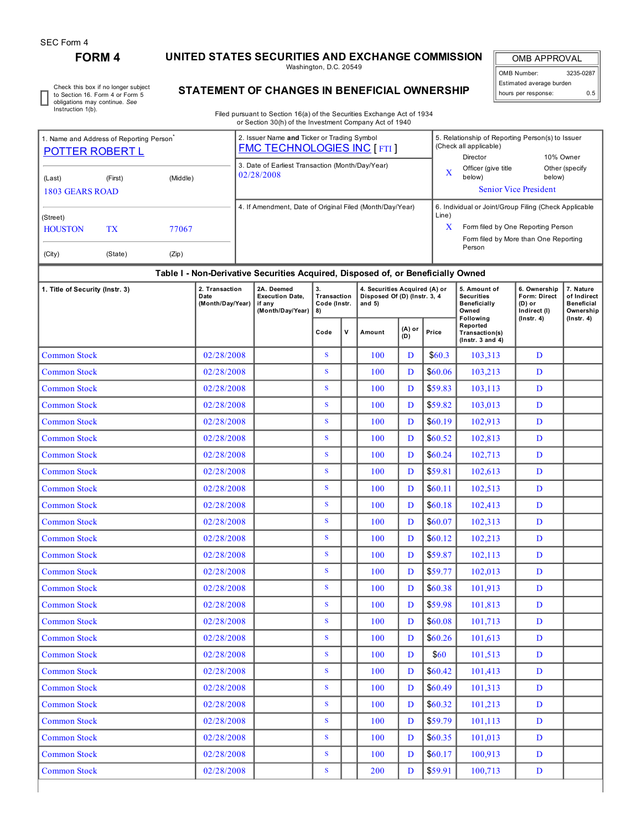# **FORM 4 UNITED STATES SECURITIES AND EXCHANGE COMMISSION**

Washington, D.C. 20549

OMB APPROVAL OMB Number: 3235-0287 Estimated average burden hours per response: 0.5

Check this box if no longer subject to Section 16. Form 4 or Form 5 obligations may continue. *See* Instruction 1(b).

# **STATEMENT OF CHANGES IN BENEFICIAL OWNERSHIP**

Filed pursuant to Section 16(a) of the Securities Exchange Act of 1934 or Section 30(h) of the Investment Company Act of 1940

| 1. Name and Address of Reporting Person <sup>1</sup><br><b>POTTER ROBERT L</b> |                                                                                  |  | 2. Issuer Name and Ticker or Trading Symbol<br><b>FMC TECHNOLOGIES INC [FTI]</b> | 5. Relationship of Reporting Person(s) to Issuer<br>(Check all applicable)<br>10% Owner<br>Director                                                          |  |  |  |  |  |  |  |
|--------------------------------------------------------------------------------|----------------------------------------------------------------------------------|--|----------------------------------------------------------------------------------|--------------------------------------------------------------------------------------------------------------------------------------------------------------|--|--|--|--|--|--|--|
| (Last)<br>1803 GEARS ROAD                                                      | (Middle)<br>(First)                                                              |  | 3. Date of Earliest Transaction (Month/Day/Year)<br>02/28/2008                   | Officer (give title<br>Other (specify<br>X<br>below)<br>below)<br><b>Senior Vice President</b>                                                               |  |  |  |  |  |  |  |
| (Street)<br><b>HOUSTON</b><br>(City)                                           | <b>TX</b><br>77067<br>(State)<br>(Zip)                                           |  | 4. If Amendment, Date of Original Filed (Month/Day/Year)                         | 6. Individual or Joint/Group Filing (Check Applicable<br>Line)<br>x<br>Form filed by One Reporting Person<br>Form filed by More than One Reporting<br>Person |  |  |  |  |  |  |  |
|                                                                                | Table I - Non-Derivative Securities Acquired. Disposed of, or Beneficially Owned |  |                                                                                  |                                                                                                                                                              |  |  |  |  |  |  |  |

# **Table I - Non-Derivative Securities Acquired, Disposed of, or Beneficially Owned**

| 1. Title of Security (Instr. 3) | 2. Transaction<br>Date<br>(Month/Day/Year) | 2A. Deemed<br><b>Execution Date.</b><br>if any<br>(Month/Day/Year) | 3.<br>Transaction<br>Code (Instr.<br>8) |              | 4. Securities Acquired (A) or<br>Disposed Of (D) (Instr. 3, 4<br>and $5)$ |               |          | 5. Amount of<br><b>Securities</b><br>Beneficially<br>Owned<br>Following | 6. Ownership<br>Form: Direct<br>(D) or<br>Indirect (I)<br>$($ Instr. 4 $)$ | 7. Nature<br>of Indirect<br><b>Beneficial</b><br>Ownership<br>$($ lnstr. 4 $)$ |  |
|---------------------------------|--------------------------------------------|--------------------------------------------------------------------|-----------------------------------------|--------------|---------------------------------------------------------------------------|---------------|----------|-------------------------------------------------------------------------|----------------------------------------------------------------------------|--------------------------------------------------------------------------------|--|
|                                 |                                            |                                                                    | Code                                    | $\mathsf{v}$ | Amount                                                                    | (A) or<br>(D) | Price    | Reported<br>Transaction(s)<br>( $lnstr. 3 and 4$ )                      |                                                                            |                                                                                |  |
| <b>Common Stock</b>             | 02/28/2008                                 |                                                                    | S                                       |              | 100                                                                       | D             | \$60.3\$ | 103,313                                                                 | D                                                                          |                                                                                |  |
| <b>Common Stock</b>             | 02/28/2008                                 |                                                                    | S                                       |              | 100                                                                       | D             | \$60.06  | 103,213                                                                 | D                                                                          |                                                                                |  |
| <b>Common Stock</b>             | 02/28/2008                                 |                                                                    | ${\bf S}$                               |              | 100                                                                       | D             | \$59.83  | 103,113                                                                 | D                                                                          |                                                                                |  |
| <b>Common Stock</b>             | 02/28/2008                                 |                                                                    | S                                       |              | 100                                                                       | D             | \$59.82  | 103,013                                                                 | D                                                                          |                                                                                |  |
| <b>Common Stock</b>             | 02/28/2008                                 |                                                                    | $\mathbf S$                             |              | 100                                                                       | D             | \$60.19  | 102,913                                                                 | D                                                                          |                                                                                |  |
| <b>Common Stock</b>             | 02/28/2008                                 |                                                                    | S                                       |              | 100                                                                       | D             | \$60.52  | 102,813                                                                 | D                                                                          |                                                                                |  |
| <b>Common Stock</b>             | 02/28/2008                                 |                                                                    | S                                       |              | 100                                                                       | D             | \$60.24  | 102,713                                                                 | D                                                                          |                                                                                |  |
| <b>Common Stock</b>             | 02/28/2008                                 |                                                                    | S                                       |              | 100                                                                       | D             | \$59.81  | 102,613                                                                 | D                                                                          |                                                                                |  |
| <b>Common Stock</b>             | 02/28/2008                                 |                                                                    | S                                       |              | 100                                                                       | D             | \$60.11  | 102,513                                                                 | D                                                                          |                                                                                |  |
| <b>Common Stock</b>             | 02/28/2008                                 |                                                                    | S                                       |              | 100                                                                       | D             | \$60.18  | 102,413                                                                 | D                                                                          |                                                                                |  |
| <b>Common Stock</b>             | 02/28/2008                                 |                                                                    | S                                       |              | 100                                                                       | D             | \$60.07  | 102,313                                                                 | D                                                                          |                                                                                |  |
| <b>Common Stock</b>             | 02/28/2008                                 |                                                                    | S                                       |              | 100                                                                       | D             | \$60.12  | 102,213                                                                 | D                                                                          |                                                                                |  |
| <b>Common Stock</b>             | 02/28/2008                                 |                                                                    | S                                       |              | 100                                                                       | D             | \$59.87  | 102,113                                                                 | D                                                                          |                                                                                |  |
| <b>Common Stock</b>             | 02/28/2008                                 |                                                                    | $\mathbf S$                             |              | 100                                                                       | D             | \$59.77  | 102,013                                                                 | D                                                                          |                                                                                |  |
| <b>Common Stock</b>             | 02/28/2008                                 |                                                                    | S                                       |              | 100                                                                       | D             | \$60.38  | 101,913                                                                 | D                                                                          |                                                                                |  |
| <b>Common Stock</b>             | 02/28/2008                                 |                                                                    | ${\bf S}$                               |              | 100                                                                       | D             | \$59.98  | 101,813                                                                 | D                                                                          |                                                                                |  |
| <b>Common Stock</b>             | 02/28/2008                                 |                                                                    | S                                       |              | 100                                                                       | D             | \$60.08  | 101,713                                                                 | D                                                                          |                                                                                |  |
| <b>Common Stock</b>             | 02/28/2008                                 |                                                                    | S                                       |              | 100                                                                       | D             | \$60.26  | 101,613                                                                 | D                                                                          |                                                                                |  |
| <b>Common Stock</b>             | 02/28/2008                                 |                                                                    | S                                       |              | 100                                                                       | D             | \$60     | 101,513                                                                 | D                                                                          |                                                                                |  |
| <b>Common Stock</b>             | 02/28/2008                                 |                                                                    | S                                       |              | 100                                                                       | D             | \$60.42  | 101,413                                                                 | D                                                                          |                                                                                |  |
| <b>Common Stock</b>             | 02/28/2008                                 |                                                                    | $\mathbf S$                             |              | 100                                                                       | D             | \$60.49  | 101,313                                                                 | D                                                                          |                                                                                |  |
| <b>Common Stock</b>             | 02/28/2008                                 |                                                                    | S                                       |              | 100                                                                       | D             | \$60.32  | 101,213                                                                 | D                                                                          |                                                                                |  |
| <b>Common Stock</b>             | 02/28/2008                                 |                                                                    | ${\bf S}$                               |              | 100                                                                       | D             | \$59.79  | 101,113                                                                 | D                                                                          |                                                                                |  |
| <b>Common Stock</b>             | 02/28/2008                                 |                                                                    | S                                       |              | 100                                                                       | D             | \$60.35  | 101,013                                                                 | D                                                                          |                                                                                |  |
| <b>Common Stock</b>             | 02/28/2008                                 |                                                                    | S                                       |              | 100                                                                       | D             | \$60.17  | 100,913                                                                 | D                                                                          |                                                                                |  |
| <b>Common Stock</b>             | 02/28/2008                                 |                                                                    | S                                       |              | 200                                                                       | D             | \$59.91  | 100,713                                                                 | D                                                                          |                                                                                |  |